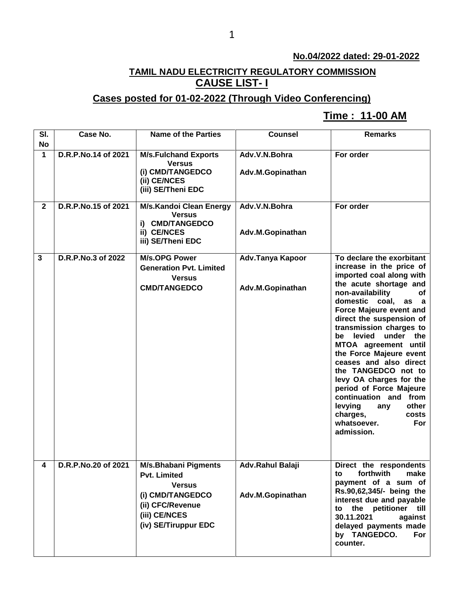### **No.04/2022 dated: 29-01-2022**

# **TAMIL NADU ELECTRICITY REGULATORY COMMISSION CAUSE LIST- I**

## **Cases posted for 01-02-2022 (Through Video Conferencing)**

## **Time : 11-00 AM[**

| SI.                       | Case No.            | <b>Name of the Parties</b>                                                                                                                           | <b>Counsel</b>                       | <b>Remarks</b>                                                                                                                                                                                                                                                                                                                                                                                                                                                                                                                                           |
|---------------------------|---------------------|------------------------------------------------------------------------------------------------------------------------------------------------------|--------------------------------------|----------------------------------------------------------------------------------------------------------------------------------------------------------------------------------------------------------------------------------------------------------------------------------------------------------------------------------------------------------------------------------------------------------------------------------------------------------------------------------------------------------------------------------------------------------|
| <b>No</b><br>$\mathbf{1}$ | D.R.P.No.14 of 2021 | <b>M/s.Fulchand Exports</b><br><b>Versus</b>                                                                                                         | Adv.V.N.Bohra                        | For order                                                                                                                                                                                                                                                                                                                                                                                                                                                                                                                                                |
|                           |                     | (i) CMD/TANGEDCO<br>(ii) CE/NCES<br>(iii) SE/Theni EDC                                                                                               | Adv.M.Gopinathan                     |                                                                                                                                                                                                                                                                                                                                                                                                                                                                                                                                                          |
| $\mathbf{2}$              | D.R.P.No.15 of 2021 | M/s.Kandoi Clean Energy<br><b>Versus</b><br>i) CMD/TANGEDCO<br>ii) CE/NCES<br>iii) SE/Theni EDC                                                      | Adv.V.N.Bohra<br>Adv.M.Gopinathan    | For order                                                                                                                                                                                                                                                                                                                                                                                                                                                                                                                                                |
| 3                         | D.R.P.No.3 of 2022  | <b>M/s.OPG Power</b><br><b>Generation Pvt. Limited</b><br><b>Versus</b><br><b>CMD/TANGEDCO</b>                                                       | Adv.Tanya Kapoor<br>Adv.M.Gopinathan | To declare the exorbitant<br>increase in the price of<br>imported coal along with<br>the acute shortage and<br>non-availability<br>of<br>domestic<br>coal,<br>as a<br>Force Majeure event and<br>direct the suspension of<br>transmission charges to<br>levied<br>under the<br>be<br>MTOA agreement until<br>the Force Majeure event<br>ceases and also direct<br>the TANGEDCO not to<br>levy OA charges for the<br>period of Force Majeure<br>continuation and from<br>levying<br>other<br>any<br>charges,<br>costs<br>whatsoever.<br>For<br>admission. |
| 4                         | D.R.P.No.20 of 2021 | <b>M/s.Bhabani Pigments</b><br><b>Pvt. Limited</b><br><b>Versus</b><br>(i) CMD/TANGEDCO<br>(ii) CFC/Revenue<br>(iii) CE/NCES<br>(iv) SE/Tiruppur EDC | Adv.Rahul Balaji<br>Adv.M.Gopinathan | Direct the respondents<br>forthwith<br>make<br>to<br>payment of a sum of<br>Rs.90,62,345/- being the<br>interest due and payable<br>to the petitioner till<br>30.11.2021<br>against<br>delayed payments made<br>by TANGEDCO.<br>For<br>counter.                                                                                                                                                                                                                                                                                                          |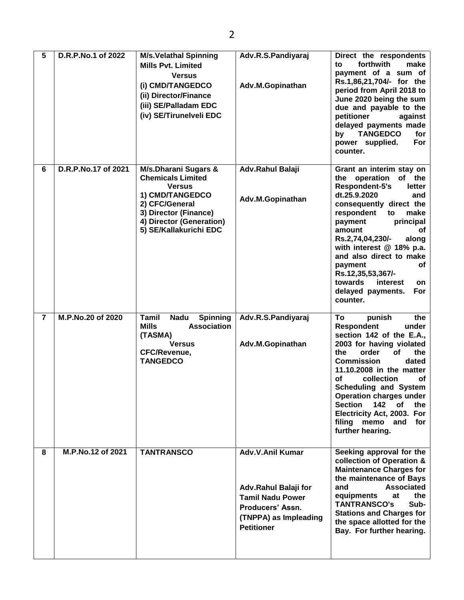| 5              | D.R.P.No.1 of 2022  | <b>M/s.Velathal Spinning</b><br><b>Mills Pvt. Limited</b><br><b>Versus</b><br>(i) CMD/TANGEDCO<br>(ii) Director/Finance<br>(iii) SE/Palladam EDC<br>(iv) SE/Tirunelveli EDC                      | Adv.R.S.Pandiyaraj<br>Adv.M.Gopinathan                                                                                                | Direct the respondents<br>forthwith<br>make<br>to<br>payment of a sum of<br>Rs.1,86,21,704/- for the<br>period from April 2018 to<br>June 2020 being the sum<br>due and payable to the<br>petitioner<br>against<br>delayed payments made<br><b>TANGEDCO</b><br>for<br>by<br>power supplied.<br>For<br>counter.                                                                                                 |
|----------------|---------------------|--------------------------------------------------------------------------------------------------------------------------------------------------------------------------------------------------|---------------------------------------------------------------------------------------------------------------------------------------|----------------------------------------------------------------------------------------------------------------------------------------------------------------------------------------------------------------------------------------------------------------------------------------------------------------------------------------------------------------------------------------------------------------|
| 6              | D.R.P.No.17 of 2021 | <b>M/s.Dharani Sugars &amp;</b><br><b>Chemicals Limited</b><br><b>Versus</b><br>1) CMD/TANGEDCO<br>2) CFC/General<br>3) Director (Finance)<br>4) Director (Generation)<br>5) SE/Kallakurichi EDC | Adv.Rahul Balaji<br>Adv.M.Gopinathan                                                                                                  | Grant an interim stay on<br>the operation<br>of the<br>Respondent-5's<br>letter<br>dt.25.9.2020<br>and<br>consequently direct the<br>respondent<br>to<br>make<br>principal<br>payment<br>amount<br><b>of</b><br>along<br>Rs.2,74,04,230/-<br>with interest @ 18% p.a.<br>and also direct to make<br>payment<br>of<br>Rs.12,35,53,367/-<br>towards<br>interest<br>on<br>delayed payments.<br>For<br>counter.    |
| $\overline{7}$ | M.P.No.20 of 2020   | Tamil<br><b>Nadu</b><br><b>Spinning</b><br><b>Mills</b><br><b>Association</b><br>(TASMA)<br><b>Versus</b><br><b>CFC/Revenue,</b><br><b>TANGEDCO</b>                                              | Adv.R.S.Pandiyaraj<br>Adv.M.Gopinathan                                                                                                | To<br>punish<br>the<br><b>Respondent</b><br>under<br>section 142 of the E.A.,<br>2003 for having violated<br>order<br>of<br>the<br>the<br><b>Commission</b><br>dated<br>11.10.2008 in the matter<br>collection<br>οf<br>of<br><b>Scheduling and System</b><br><b>Operation charges under</b><br><b>Section</b><br>142<br>of<br>the<br>Electricity Act, 2003. For<br>filing memo and<br>for<br>further hearing. |
| 8              | M.P.No.12 of 2021   | <b>TANTRANSCO</b>                                                                                                                                                                                | Adv.V.Anil Kumar<br>Adv.Rahul Balaji for<br><b>Tamil Nadu Power</b><br>Producers' Assn.<br>(TNPPA) as Impleading<br><b>Petitioner</b> | Seeking approval for the<br>collection of Operation &<br><b>Maintenance Charges for</b><br>the maintenance of Bays<br>and<br><b>Associated</b><br>equipments<br>at<br>the<br>Sub-<br><b>TANTRANSCO's</b><br><b>Stations and Charges for</b><br>the space allotted for the<br>Bay. For further hearing.                                                                                                         |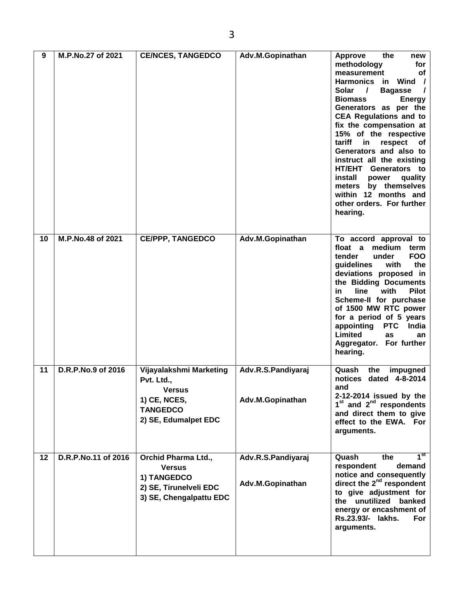| 9  | M.P.No.27 of 2021   | <b>CE/NCES, TANGEDCO</b>                                                                                   | Adv.M.Gopinathan                       | <b>Approve</b><br>the<br>new<br>methodology<br>for<br>measurement<br>of<br><b>Harmonics</b> in<br>Wind /<br>Solar<br>$\prime$<br><b>Bagasse</b><br>$\overline{1}$<br><b>Biomass</b><br><b>Energy</b><br>Generators as per the<br><b>CEA Regulations and to</b><br>fix the compensation at<br>15% of the respective<br>tariff<br>in<br>respect<br>Оf<br>Generators and also to<br>instruct all the existing<br>HT/EHT Generators to<br>install<br>quality<br>power<br>by themselves<br>meters<br>within 12 months and<br>other orders. For further<br>hearing. |
|----|---------------------|------------------------------------------------------------------------------------------------------------|----------------------------------------|---------------------------------------------------------------------------------------------------------------------------------------------------------------------------------------------------------------------------------------------------------------------------------------------------------------------------------------------------------------------------------------------------------------------------------------------------------------------------------------------------------------------------------------------------------------|
| 10 | M.P.No.48 of 2021   | <b>CE/PPP, TANGEDCO</b>                                                                                    | Adv.M.Gopinathan                       | To accord approval to<br>float a<br>medium<br>term<br><b>FOO</b><br>tender<br>under<br>the<br>guidelines<br>with<br>deviations proposed in<br>the Bidding Documents<br><b>Pilot</b><br>with<br>in<br>line<br>Scheme-II for purchase<br>of 1500 MW RTC power<br>for a period of 5 years<br>appointing<br><b>PTC</b><br>India<br>Limited<br>as<br>an<br>Aggregator. For further<br>hearing.                                                                                                                                                                     |
| 11 | D.R.P.No.9 of 2016  | Vijayalakshmi Marketing<br>Pvt. Ltd.,<br>Versus<br>1) CE, NCES,<br><b>TANGEDCO</b><br>2) SE, Edumalpet EDC | Adv.R.S.Pandiyaraj<br>Adv.M.Gopinathan | Quash<br>the<br>impugned<br>notices dated 4-8-2014<br>and<br>2-12-2014 issued by the<br>$1st$ and $2nd$ respondents<br>and direct them to give<br>effect to the EWA. For<br>arguments.                                                                                                                                                                                                                                                                                                                                                                        |
| 12 | D.R.P.No.11 of 2016 | Orchid Pharma Ltd.,<br><b>Versus</b><br>1) TANGEDCO<br>2) SE, Tirunelveli EDC<br>3) SE, Chengalpattu EDC   | Adv.R.S.Pandiyaraj<br>Adv.M.Gopinathan | 1 <sup>st</sup><br>Quash<br>the<br>respondent<br>demand<br>notice and consequently<br>direct the 2 <sup>nd</sup> respondent<br>to give adjustment for<br>the unutilized banked<br>energy or encashment of<br>Rs.23.93/- lakhs.<br>For<br>arguments.                                                                                                                                                                                                                                                                                                           |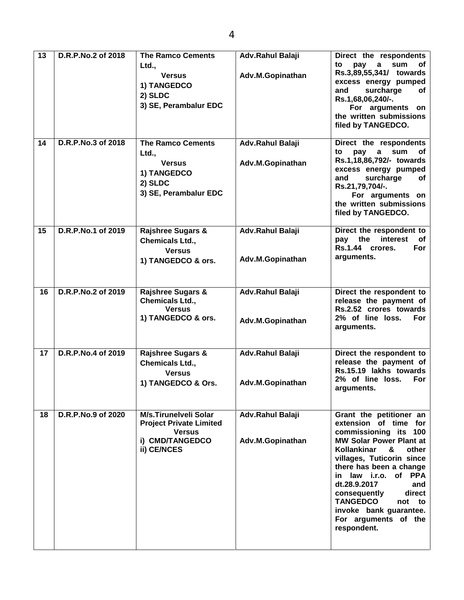| 13 | D.R.P.No.2 of 2018 | <b>The Ramco Cements</b><br>Ltd.,<br><b>Versus</b><br>1) TANGEDCO<br>2) SLDC<br>3) SE, Perambalur EDC      | <b>Adv.Rahul Balaji</b><br>Adv.M.Gopinathan | Direct the respondents<br>to<br>pay<br>a<br>sum<br>of<br>Rs.3,89,55,341/ towards<br>excess energy pumped<br>surcharge<br>and<br>оf<br>Rs.1,68,06,240/-.<br>For arguments on<br>the written submissions<br>filed by TANGEDCO.                                                                                                                                                   |
|----|--------------------|------------------------------------------------------------------------------------------------------------|---------------------------------------------|--------------------------------------------------------------------------------------------------------------------------------------------------------------------------------------------------------------------------------------------------------------------------------------------------------------------------------------------------------------------------------|
| 14 | D.R.P.No.3 of 2018 | <b>The Ramco Cements</b><br>Ltd.,<br><b>Versus</b><br>1) TANGEDCO<br>2) SLDC<br>3) SE, Perambalur EDC      | Adv.Rahul Balaji<br>Adv.M.Gopinathan        | Direct the respondents<br>to<br>pay<br>sum<br>οf<br>a<br>Rs.1,18,86,792/- towards<br>excess energy pumped<br>and<br>surcharge<br>of<br>Rs.21,79,704/-.<br>For arguments on<br>the written submissions<br>filed by TANGEDCO.                                                                                                                                                    |
| 15 | D.R.P.No.1 of 2019 | <b>Rajshree Sugars &amp;</b><br><b>Chemicals Ltd.,</b><br><b>Versus</b><br>1) TANGEDCO & ors.              | Adv.Rahul Balaji<br>Adv.M.Gopinathan        | Direct the respondent to<br>pay the<br>interest<br>оf<br>Rs.1.44 crores.<br><b>For</b><br>arguments.                                                                                                                                                                                                                                                                           |
| 16 | D.R.P.No.2 of 2019 | <b>Rajshree Sugars &amp;</b><br>Chemicals Ltd.,<br><b>Versus</b><br>1) TANGEDCO & ors.                     | Adv.Rahul Balaji<br>Adv.M.Gopinathan        | Direct the respondent to<br>release the payment of<br>Rs.2.52 crores towards<br>2% of line loss.<br><b>For</b><br>arguments.                                                                                                                                                                                                                                                   |
| 17 | D.R.P.No.4 of 2019 | <b>Rajshree Sugars &amp;</b><br>Chemicals Ltd.,<br><b>Versus</b><br>1) TANGEDCO & Ors.                     | Adv.Rahul Balaji<br>Adv.M.Gopinathan        | Direct the respondent to<br>release the payment of<br>Rs.15.19 lakhs towards<br>2% of line loss.<br>For<br>arguments.                                                                                                                                                                                                                                                          |
| 18 | D.R.P.No.9 of 2020 | M/s.Tirunelveli Solar<br><b>Project Private Limited</b><br><b>Versus</b><br>i) CMD/TANGEDCO<br>ii) CE/NCES | Adv.Rahul Balaji<br>Adv.M.Gopinathan        | Grant the petitioner an<br>extension of time for<br>commissioning its 100<br><b>MW Solar Power Plant at</b><br><b>Kollankinar</b><br>&<br>other<br>villages, Tuticorin since<br>there has been a change<br>in law i.r.o. of PPA<br>dt.28.9.2017<br>and<br>direct<br>consequently<br><b>TANGEDCO</b><br>not to<br>invoke bank guarantee.<br>For arguments of the<br>respondent. |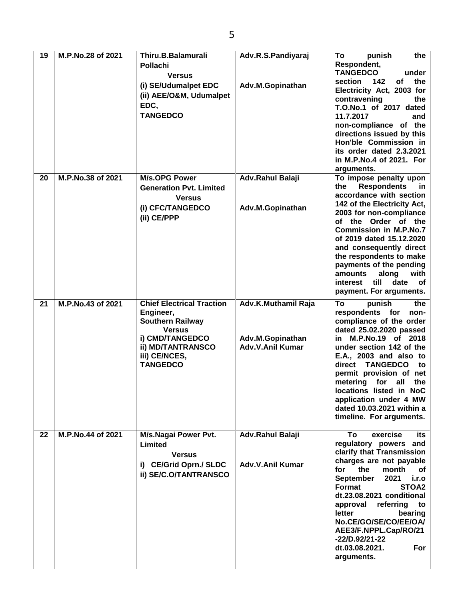| 19 | M.P.No.28 of 2021 | Thiru.B.Balamurali                   | Adv.R.S.Pandiyaraj  | To<br>punish<br>the                                 |
|----|-------------------|--------------------------------------|---------------------|-----------------------------------------------------|
|    |                   | <b>Pollachi</b>                      |                     | Respondent,                                         |
|    |                   | <b>Versus</b>                        |                     | <b>TANGEDCO</b><br>under                            |
|    |                   | (i) SE/Udumalpet EDC                 | Adv.M.Gopinathan    | of<br>142<br>the<br>section                         |
|    |                   | (ii) AEE/O&M, Udumalpet              |                     | Electricity Act, 2003 for                           |
|    |                   | EDC,                                 |                     | contravening<br>the                                 |
|    |                   |                                      |                     | T.O.No.1 of 2017 dated                              |
|    |                   | <b>TANGEDCO</b>                      |                     | 11.7.2017<br>and                                    |
|    |                   |                                      |                     | non-compliance of the                               |
|    |                   |                                      |                     | directions issued by this<br>Hon'ble Commission in  |
|    |                   |                                      |                     | its order dated 2.3.2021                            |
|    |                   |                                      |                     | in M.P.No.4 of 2021. For                            |
|    |                   |                                      |                     | arguments.                                          |
| 20 | M.P.No.38 of 2021 | <b>M/s.OPG Power</b>                 | Adv.Rahul Balaji    | To impose penalty upon                              |
|    |                   | <b>Generation Pvt. Limited</b>       |                     | <b>Respondents</b><br>the<br><u>in</u>              |
|    |                   | <b>Versus</b>                        |                     | accordance with section                             |
|    |                   | (i) CFC/TANGEDCO                     | Adv.M.Gopinathan    | 142 of the Electricity Act,                         |
|    |                   |                                      |                     | 2003 for non-compliance                             |
|    |                   | (ii) CE/PPP                          |                     | of the Order of the                                 |
|    |                   |                                      |                     | <b>Commission in M.P.No.7</b>                       |
|    |                   |                                      |                     | of 2019 dated 15.12.2020                            |
|    |                   |                                      |                     | and consequently direct                             |
|    |                   |                                      |                     | the respondents to make                             |
|    |                   |                                      |                     | payments of the pending<br>along<br>amounts<br>with |
|    |                   |                                      |                     | till<br>date<br>interest<br>оf                      |
|    |                   |                                      |                     | payment. For arguments.                             |
|    |                   |                                      |                     |                                                     |
| 21 | M.P.No.43 of 2021 | <b>Chief Electrical Traction</b>     | Adv.K.Muthamil Raja | To<br>punish<br>the<br>non-                         |
|    |                   | Engineer,<br><b>Southern Railway</b> |                     | respondents for<br>compliance of the order          |
|    |                   | <b>Versus</b>                        |                     | dated 25.02.2020 passed                             |
|    |                   | i) CMD/TANGEDCO                      | Adv.M.Gopinathan    | in M.P.No.19 of 2018                                |
|    |                   | <b>ii) MD/TANTRANSCO</b>             | Adv.V.Anil Kumar    | under section 142 of the                            |
|    |                   | iii) CE/NCES,                        |                     | E.A., 2003 and also to                              |
|    |                   | <b>TANGEDCO</b>                      |                     | direct<br><b>TANGEDCO</b><br>to                     |
|    |                   |                                      |                     | permit provision of net                             |
|    |                   |                                      |                     | metering for all<br>the                             |
|    |                   |                                      |                     | locations listed in NoC                             |
|    |                   |                                      |                     | application under 4 MW                              |
|    |                   |                                      |                     | dated 10.03.2021 within a                           |
|    |                   |                                      |                     | timeline. For arguments.                            |
| 22 | M.P.No.44 of 2021 | M/s.Nagai Power Pvt.                 | Adv.Rahul Balaji    | To<br>exercise<br>its                               |
|    |                   | Limited                              |                     | regulatory powers and                               |
|    |                   | <b>Versus</b>                        |                     | clarify that Transmission                           |
|    |                   |                                      |                     | charges are not payable                             |
|    |                   | i) CE/Grid Oprn./ SLDC               | Adv.V.Anil Kumar    | for<br>the<br>month<br>οf                           |
|    |                   | ii) SE/C.O/TANTRANSCO                |                     | 2021<br><b>September</b><br>i.r.o                   |
|    |                   |                                      |                     | STOA2<br>Format                                     |
|    |                   |                                      |                     | dt.23.08.2021 conditional                           |
|    |                   |                                      |                     | referring<br>approval<br>to                         |
|    |                   |                                      |                     | letter<br>bearing                                   |
|    |                   |                                      |                     | No.CE/GO/SE/CO/EE/OA/                               |
|    |                   |                                      |                     | AEE3/F.NPPL.Cap/RO/21                               |
|    |                   |                                      |                     | -22/D.92/21-22<br>dt.03.08.2021.<br>For             |
|    |                   |                                      |                     | arguments.                                          |
|    |                   |                                      |                     |                                                     |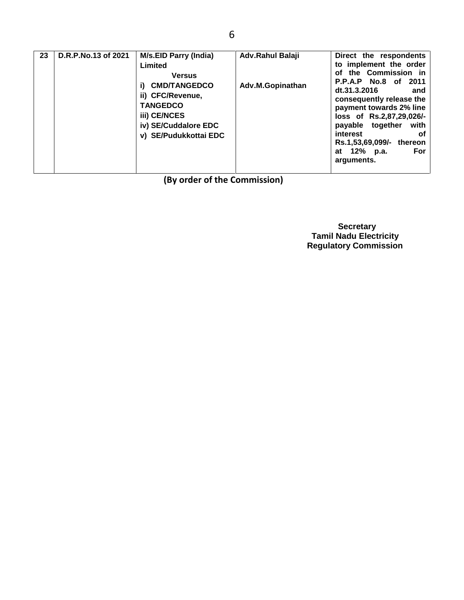**(By order of the Commission)**

 **Secretary Tamil Nadu Electricity Regulatory Commission**